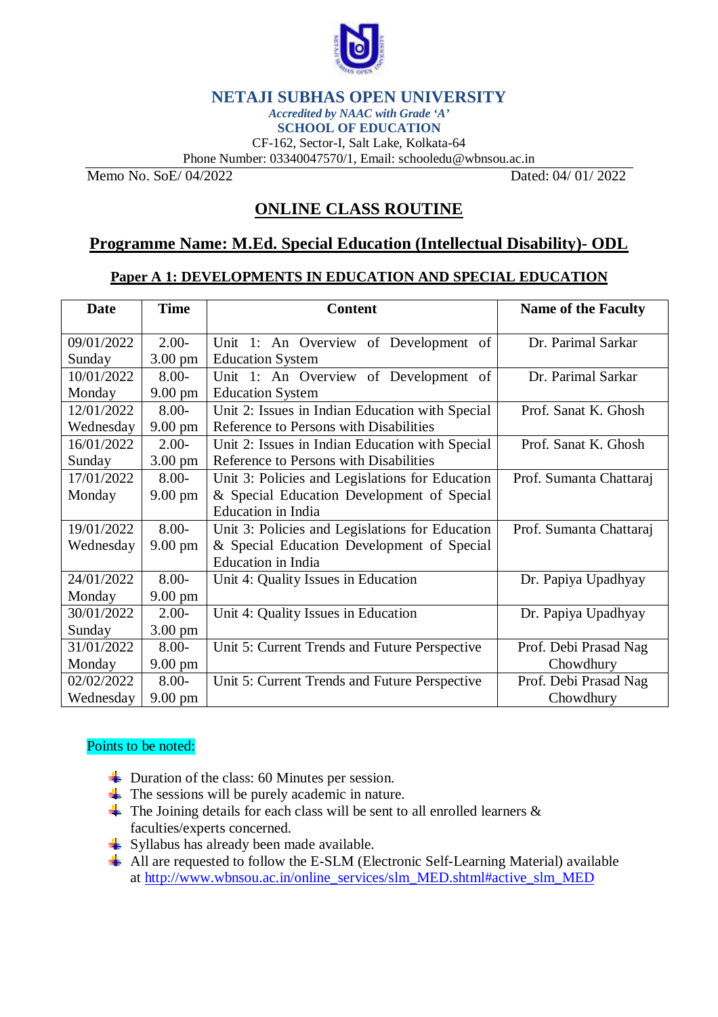

## **NETAJI SUBHAS OPEN UNIVERSITY**

*Accredited by NAAC with Grade 'A'*

**SCHOOL OF EDUCATION** CF-162, Sector-I, Salt Lake, Kolkata-64

Phone Number: 03340047570/1, Email: [schooledu@wbnsou.ac.in](mailto:schooledu@wbnsou.ac.in)

Memo No. SoE/ 04/2022 Dated: 04/ 01/ 2022

# **ONLINE CLASS ROUTINE**

## **Programme Name: M.Ed. Special Education (Intellectual Disability)- ODL**

### **Paper A 1: DEVELOPMENTS IN EDUCATION AND SPECIAL EDUCATION**

| <b>Date</b> | <b>Time</b>       | <b>Content</b>                                  | <b>Name of the Faculty</b> |
|-------------|-------------------|-------------------------------------------------|----------------------------|
|             |                   |                                                 |                            |
| 09/01/2022  | $2.00-$           | Unit 1: An Overview of Development of           | Dr. Parimal Sarkar         |
| Sunday      | $3.00 \text{ pm}$ | <b>Education System</b>                         |                            |
| 10/01/2022  | $8.00 -$          | Unit 1: An Overview of Development of           | Dr. Parimal Sarkar         |
| Monday      | $9.00 \text{ pm}$ | <b>Education System</b>                         |                            |
| 12/01/2022  | $8.00 -$          | Unit 2: Issues in Indian Education with Special | Prof. Sanat K. Ghosh       |
| Wednesday   | $9.00 \text{ pm}$ | Reference to Persons with Disabilities          |                            |
| 16/01/2022  | $2.00-$           | Unit 2: Issues in Indian Education with Special | Prof. Sanat K. Ghosh       |
| Sunday      | $3.00 \text{ pm}$ | Reference to Persons with Disabilities          |                            |
| 17/01/2022  | $8.00 -$          | Unit 3: Policies and Legislations for Education | Prof. Sumanta Chattaraj    |
| Monday      | $9.00 \text{ pm}$ | & Special Education Development of Special      |                            |
|             |                   | <b>Education</b> in India                       |                            |
| 19/01/2022  | $8.00 -$          | Unit 3: Policies and Legislations for Education | Prof. Sumanta Chattaraj    |
| Wednesday   | $9.00 \text{ pm}$ | & Special Education Development of Special      |                            |
|             |                   | <b>Education</b> in India                       |                            |
| 24/01/2022  | $8.00 -$          | Unit 4: Quality Issues in Education             | Dr. Papiya Upadhyay        |
| Monday      | $9.00 \text{ pm}$ |                                                 |                            |
| 30/01/2022  | $2.00-$           | Unit 4: Quality Issues in Education             | Dr. Papiya Upadhyay        |
| Sunday      | $3.00 \text{ pm}$ |                                                 |                            |
| 31/01/2022  | $8.00 -$          | Unit 5: Current Trends and Future Perspective   | Prof. Debi Prasad Nag      |
| Monday      | $9.00 \text{ pm}$ |                                                 | Chowdhury                  |
| 02/02/2022  | $8.00 -$          | Unit 5: Current Trends and Future Perspective   | Prof. Debi Prasad Nag      |
| Wednesday   | $9.00 \text{ pm}$ |                                                 | Chowdhury                  |

### Points to be noted:

- $\overline{\phantom{a}}$  Duration of the class: 60 Minutes per session.
- $\overline{\phantom{a}}$  The sessions will be purely academic in nature.
- $\overline{\text{ } }$  The Joining details for each class will be sent to all enrolled learners  $\&$ faculties/experts concerned.
- Syllabus has already been made available.
- All are requested to follow the E-SLM (Electronic Self-Learning Material) available at [http://www.wbnsou.ac.in/online\\_services/slm\\_MED.shtml#active\\_slm\\_MED](http://www.wbnsou.ac.in/online_services/slm_MED.shtml#active_slm_MED)